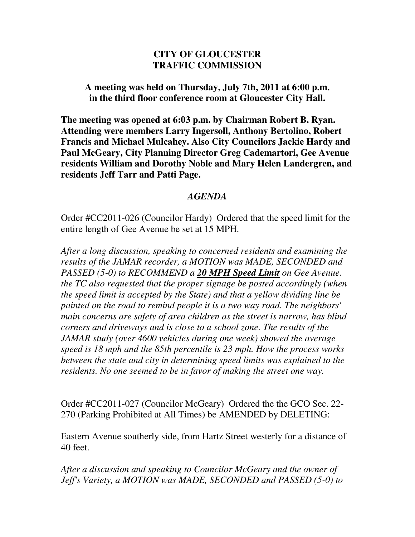## **CITY OF GLOUCESTER TRAFFIC COMMISSION**

**A meeting was held on Thursday, July 7th, 2011 at 6:00 p.m. in the third floor conference room at Gloucester City Hall.** 

**The meeting was opened at 6:03 p.m. by Chairman Robert B. Ryan. Attending were members Larry Ingersoll, Anthony Bertolino, Robert Francis and Michael Mulcahey. Also City Councilors Jackie Hardy and Paul McGeary, City Planning Director Greg Cademartori, Gee Avenue residents William and Dorothy Noble and Mary Helen Landergren, and residents Jeff Tarr and Patti Page.** 

## *AGENDA*

Order #CC2011-026 (Councilor Hardy) Ordered that the speed limit for the entire length of Gee Avenue be set at 15 MPH.

*After a long discussion, speaking to concerned residents and examining the results of the JAMAR recorder, a MOTION was MADE, SECONDED and PASSED (5-0) to RECOMMEND a 20 MPH Speed Limit on Gee Avenue. the TC also requested that the proper signage be posted accordingly (when the speed limit is accepted by the State) and that a yellow dividing line be painted on the road to remind people it is a two way road. The neighbors' main concerns are safety of area children as the street is narrow, has blind corners and driveways and is close to a school zone. The results of the JAMAR study (over 4600 vehicles during one week) showed the average speed is 18 mph and the 85th percentile is 23 mph. How the process works between the state and city in determining speed limits was explained to the residents. No one seemed to be in favor of making the street one way.* 

Order #CC2011-027 (Councilor McGeary) Ordered the the GCO Sec. 22- 270 (Parking Prohibited at All Times) be AMENDED by DELETING:

Eastern Avenue southerly side, from Hartz Street westerly for a distance of 40 feet.

*After a discussion and speaking to Councilor McGeary and the owner of Jeff's Variety, a MOTION was MADE, SECONDED and PASSED (5-0) to*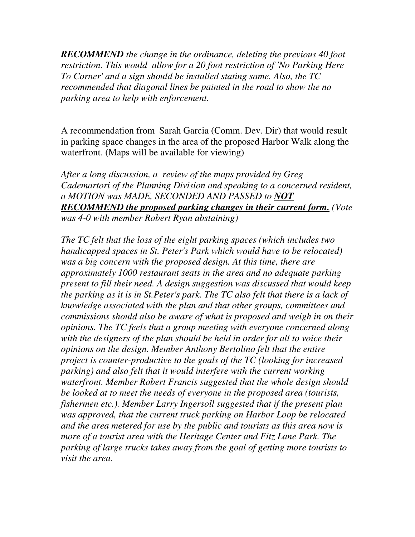*RECOMMEND the change in the ordinance, deleting the previous 40 foot restriction. This would allow for a 20 foot restriction of 'No Parking Here To Corner' and a sign should be installed stating same. Also, the TC recommended that diagonal lines be painted in the road to show the no parking area to help with enforcement.* 

A recommendation from Sarah Garcia (Comm. Dev. Dir) that would result in parking space changes in the area of the proposed Harbor Walk along the waterfront. (Maps will be available for viewing)

*After a long discussion, a review of the maps provided by Greg Cademartori of the Planning Division and speaking to a concerned resident, a MOTION was MADE, SECONDED AND PASSED to NOT RECOMMEND the proposed parking changes in their current form. (Vote was 4-0 with member Robert Ryan abstaining)* 

*The TC felt that the loss of the eight parking spaces (which includes two handicapped spaces in St. Peter's Park which would have to be relocated) was a big concern with the proposed design. At this time, there are approximately 1000 restaurant seats in the area and no adequate parking present to fill their need. A design suggestion was discussed that would keep the parking as it is in St.Peter's park. The TC also felt that there is a lack of knowledge associated with the plan and that other groups, committees and commissions should also be aware of what is proposed and weigh in on their opinions. The TC feels that a group meeting with everyone concerned along with the designers of the plan should be held in order for all to voice their opinions on the design. Member Anthony Bertolino felt that the entire project is counter-productive to the goals of the TC (looking for increased parking) and also felt that it would interfere with the current working waterfront. Member Robert Francis suggested that the whole design should be looked at to meet the needs of everyone in the proposed area (tourists, fishermen etc.). Member Larry Ingersoll suggested that if the present plan was approved, that the current truck parking on Harbor Loop be relocated and the area metered for use by the public and tourists as this area now is more of a tourist area with the Heritage Center and Fitz Lane Park. The parking of large trucks takes away from the goal of getting more tourists to visit the area.*